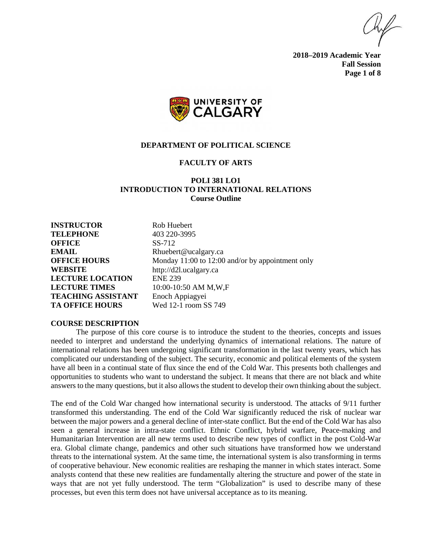**2018–2019 Academic Year Fall Session Page 1 of 8**



#### **DEPARTMENT OF POLITICAL SCIENCE**

# **FACULTY OF ARTS**

# **POLI 381 LO1 INTRODUCTION TO INTERNATIONAL RELATIONS Course Outline**

**INSTRUCTOR** Rob Huebert **TELEPHONE** 403 220-3995 **OFFICE** SS-712 **EMAIL** Rhuebert@ucalgary.ca **WEBSITE** http://d2l.ucalgary.ca **LECTURE LOCATION** ENE 239 **LECTURE TIMES** 10:00-10:50 AM M,W,F **TEACHING ASSISTANT** Enoch Appiagyei **TA OFFICE HOURS** Wed 12-1 room SS 749

**OFFICE HOURS** Monday 11:00 to 12:00 and/or by appointment only

### **COURSE DESCRIPTION**

The purpose of this core course is to introduce the student to the theories, concepts and issues needed to interpret and understand the underlying dynamics of international relations. The nature of international relations has been undergoing significant transformation in the last twenty years, which has complicated our understanding of the subject. The security, economic and political elements of the system have all been in a continual state of flux since the end of the Cold War. This presents both challenges and opportunities to students who want to understand the subject. It means that there are not black and white answers to the many questions, but it also allows the student to develop their own thinking about the subject.

The end of the Cold War changed how international security is understood. The attacks of 9/11 further transformed this understanding. The end of the Cold War significantly reduced the risk of nuclear war between the major powers and a general decline of inter-state conflict. But the end of the Cold War has also seen a general increase in intra-state conflict. Ethnic Conflict, hybrid warfare, Peace-making and Humanitarian Intervention are all new terms used to describe new types of conflict in the post Cold-War era. Global climate change, pandemics and other such situations have transformed how we understand threats to the international system. At the same time, the international system is also transforming in terms of cooperative behaviour. New economic realities are reshaping the manner in which states interact. Some analysts contend that these new realities are fundamentally altering the structure and power of the state in ways that are not yet fully understood. The term "Globalization" is used to describe many of these processes, but even this term does not have universal acceptance as to its meaning.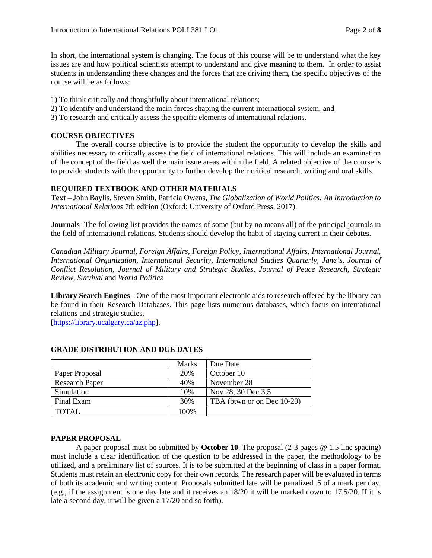In short, the international system is changing. The focus of this course will be to understand what the key issues are and how political scientists attempt to understand and give meaning to them. In order to assist students in understanding these changes and the forces that are driving them, the specific objectives of the course will be as follows:

1) To think critically and thoughtfully about international relations;

- 2) To identify and understand the main forces shaping the current international system; and
- 3) To research and critically assess the specific elements of international relations.

# **COURSE OBJECTIVES**

The overall course objective is to provide the student the opportunity to develop the skills and abilities necessary to critically assess the field of international relations. This will include an examination of the concept of the field as well the main issue areas within the field. A related objective of the course is to provide students with the opportunity to further develop their critical research, writing and oral skills.

## **REQUIRED TEXTBOOK AND OTHER MATERIALS**

**Text** – John Baylis, Steven Smith, Patricia Owens, *The Globalization of World Politics: An Introduction to International Relations* 7th edition (Oxford: University of Oxford Press, 2017).

**Journals** -The following list provides the names of some (but by no means all) of the principal journals in the field of international relations. Students should develop the habit of staying current in their debates.

*Canadian Military Journal, Foreign Affairs, Foreign Policy, International Affairs, International Journal, International Organization, International Security, International Studies Quarterly, Jane's, Journal of Conflict Resolution, Journal of Military and Strategic Studies, Journal of Peace Research, Strategic Review, Survival* and *World Politics*

**Library Search Engines** - One of the most important electronic aids to research offered by the library can be found in their Research Databases. This page lists numerous databases, which focus on international relations and strategic studies.

[\[https://library.ucalgary.ca/az.php\]](https://library.ucalgary.ca/az.php).

|                       | <b>Marks</b> | Due Date                   |
|-----------------------|--------------|----------------------------|
| Paper Proposal        | 20%          | October 10                 |
| <b>Research Paper</b> | 40%          | November 28                |
| Simulation            | 10%          | Nov 28, 30 Dec 3,5         |
| Final Exam            | 30%          | TBA (btwn or on Dec 10-20) |
| TOTAL                 | 100%         |                            |

# **GRADE DISTRIBUTION AND DUE DATES**

### **PAPER PROPOSAL**

A paper proposal must be submitted by **October 10**. The proposal (2-3 pages @ 1.5 line spacing) must include a clear identification of the question to be addressed in the paper, the methodology to be utilized, and a preliminary list of sources. It is to be submitted at the beginning of class in a paper format. Students must retain an electronic copy for their own records. The research paper will be evaluated in terms of both its academic and writing content. Proposals submitted late will be penalized .5 of a mark per day. (e.g., if the assignment is one day late and it receives an 18/20 it will be marked down to 17.5/20. If it is late a second day, it will be given a 17/20 and so forth).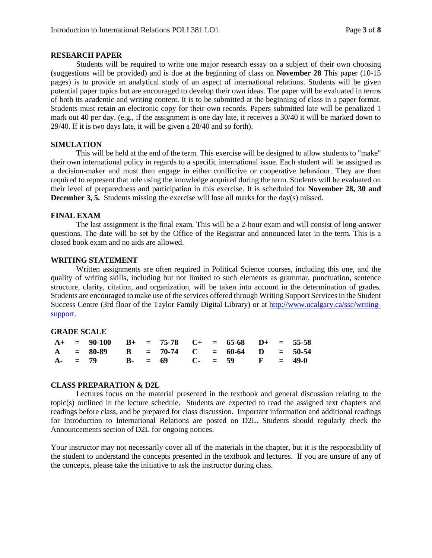### **RESEARCH PAPER**

Students will be required to write one major research essay on a subject of their own choosing (suggestions will be provided) and is due at the beginning of class on **November 28** This paper (10-15 pages) is to provide an analytical study of an aspect of international relations. Students will be given potential paper topics but are encouraged to develop their own ideas. The paper will be evaluated in terms of both its academic and writing content. It is to be submitted at the beginning of class in a paper format. Students must retain an electronic copy for their own records. Papers submitted late will be penalized 1 mark out 40 per day. (e.g., if the assignment is one day late, it receives a 30/40 it will be marked down to 29/40. If it is two days late, it will be given a 28/40 and so forth).

### **SIMULATION**

This will be held at the end of the term. This exercise will be designed to allow students to "make" their own international policy in regards to a specific international issue. Each student will be assigned as a decision-maker and must then engage in either conflictive or cooperative behaviour. They are then required to represent that role using the knowledge acquired during the term. Students will be evaluated on their level of preparedness and participation in this exercise. It is scheduled for **November 28, 30 and December 3, 5.** Students missing the exercise will lose all marks for the day(s) missed.

## **FINAL EXAM**

The last assignment is the final exam. This will be a 2-hour exam and will consist of long-answer questions. The date will be set by the Office of the Registrar and announced later in the term. This is a closed book exam and no aids are allowed.

## **WRITING STATEMENT**

Written assignments are often required in Political Science courses, including this one, and the quality of writing skills, including but not limited to such elements as grammar, punctuation, sentence structure, clarity, citation, and organization, will be taken into account in the determination of grades. Students are encouraged to make use of the services offered through Writing Support Services in the Student Success Centre (3rd floor of the Taylor Family Digital Library) or at [http://www.ucalgary.ca/ssc/writing](http://www.ucalgary.ca/ssc/writing-support)[support.](http://www.ucalgary.ca/ssc/writing-support)

### **GRADE SCALE**

|  | $A+$ = 90-100 $B+$ = 75-78 $C+$ = 65-68 $D+$ = 55-58 |  |  |  |  |  |
|--|------------------------------------------------------|--|--|--|--|--|
|  | $A = 80-89$ B = 70-74 C = 60-64 D = 50-54            |  |  |  |  |  |
|  | A- = 79 B- = 69 C- = 59 F = 49-0                     |  |  |  |  |  |

### **CLASS PREPARATION & D2L**

Lectures focus on the material presented in the textbook and general discussion relating to the topic(s) outlined in the lecture schedule. Students are expected to read the assigned text chapters and readings before class, and be prepared for class discussion. Important information and additional readings for Introduction to International Relations are posted on D2L. Students should regularly check the Announcements section of D2L for ongoing notices.

Your instructor may not necessarily cover all of the materials in the chapter, but it is the responsibility of the student to understand the concepts presented in the textbook and lectures. If you are unsure of any of the concepts, please take the initiative to ask the instructor during class.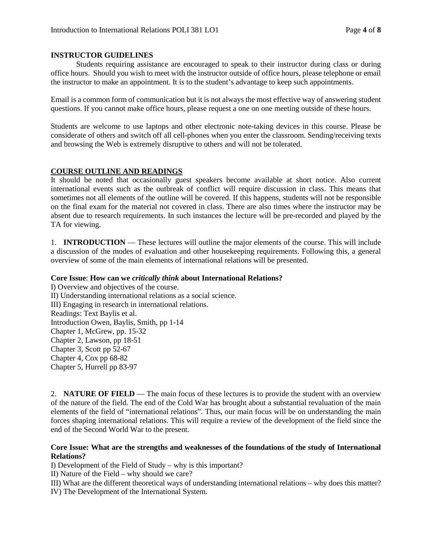# **INSTRUCTOR GUIDELINES**

Students requiring assistance are encouraged to speak to their instructor during class or during office hours. Should you wish to meet with the instructor outside of office hours, please telephone or email the instructor to make an appointment. It is to the student's advantage to keep such appointments.

Email is a common form of communication but it is not always the most effective way of answering student questions. If you cannot make office hours, please request a one on one meeting outside of these hours.

Students are welcome to use laptops and other electronic note-taking devices in this course. Please be considerate of others and switch off all cell-phones when you enter the classroom. Sending/receiving texts and browsing the Web is extremely disruptive to others and will not be tolerated.

# **COURSE OUTLINE AND READINGS**

It should be noted that occasionally guest speakers become available at short notice. Also current international events such as the outbreak of conflict will require discussion in class. This means that sometimes not all elements of the outline will be covered. If this happens, students will not be responsible on the final exam for the material not covered in class. There are also times where the instructor may be absent due to research requirements. In such instances the lecture will be pre-recorded and played by the TA for viewing.

1. **INTRODUCTION** — These lectures will outline the major elements of the course. This will include a discussion of the modes of evaluation and other housekeeping requirements. Following this, a general overview of some of the main elements of international relations will be presented.

# **Core Issue**: **How can we** *critically think* **about International Relations?**

I) Overview and objectives of the course. II) Understanding international relations as a social science. III) Engaging in research in international relations. Readings: Text Baylis et al. Introduction Owen, Baylis, Smith, pp 1-14 Chapter 1, McGrew, pp. 15-32 Chapter 2, Lawson, pp 18-51 Chapter 3, Scott pp 52-67 Chapter 4, Cox pp 68-82 Chapter 5, Hurrell pp 83-97

2. **NATURE OF FIELD** — The main focus of these lectures is to provide the student with an overview of the nature of the field. The end of the Cold War has brought about a substantial revaluation of the main elements of the field of "international relations". Thus, our main focus will be on understanding the main forces shaping international relations. This will require a review of the development of the field since the end of the Second World War to the present.

# **Core Issue: What are the strengths and weaknesses of the foundations of the study of International Relations?**

I) Development of the Field of Study – why is this important?

II) Nature of the Field – why should we care?

III) What are the different theoretical ways of understanding international relations – why does this matter?

IV) The Development of the International System.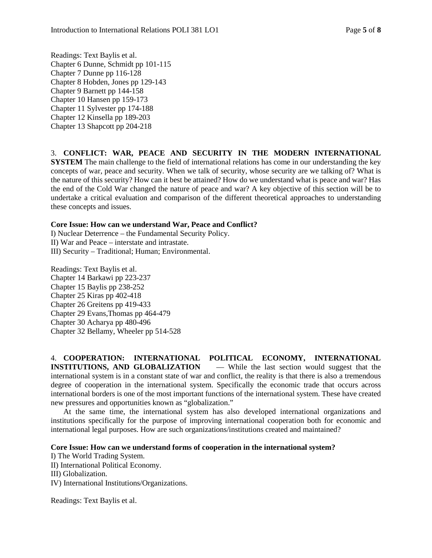Readings: Text Baylis et al. Chapter 6 Dunne, Schmidt pp 101-115 Chapter 7 Dunne pp 116-128 Chapter 8 Hobden, Jones pp 129-143 Chapter 9 Barnett pp 144-158 Chapter 10 Hansen pp 159-173 Chapter 11 Sylvester pp 174-188 Chapter 12 Kinsella pp 189-203 Chapter 13 Shapcott pp 204-218

3. **CONFLICT: WAR, PEACE AND SECURITY IN THE MODERN INTERNATIONAL SYSTEM** The main challenge to the field of international relations has come in our understanding the key concepts of war, peace and security. When we talk of security, whose security are we talking of? What is the nature of this security? How can it best be attained? How do we understand what is peace and war? Has the end of the Cold War changed the nature of peace and war? A key objective of this section will be to undertake a critical evaluation and comparison of the different theoretical approaches to understanding these concepts and issues.

# **Core Issue: How can we understand War, Peace and Conflict?**

I) Nuclear Deterrence – the Fundamental Security Policy. II) War and Peace – interstate and intrastate. III) Security – Traditional; Human; Environmental.

Readings: Text Baylis et al. Chapter 14 Barkawi pp 223-237 Chapter 15 Baylis pp 238-252 Chapter 25 Kiras pp 402-418 Chapter 26 Greitens pp 419-433 Chapter 29 Evans,Thomas pp 464-479 Chapter 30 Acharya pp 480-496 Chapter 32 Bellamy, Wheeler pp 514-528

4. **COOPERATION: INTERNATIONAL POLITICAL ECONOMY, INTERNATIONAL INSTITUTIONS, AND GLOBALIZATION** — While the last section would suggest that the international system is in a constant state of war and conflict, the reality is that there is also a tremendous

degree of cooperation in the international system. Specifically the economic trade that occurs across international borders is one of the most important functions of the international system. These have created new pressures and opportunities known as "globalization."

At the same time, the international system has also developed international organizations and institutions specifically for the purpose of improving international cooperation both for economic and international legal purposes. How are such organizations/institutions created and maintained?

# **Core Issue: How can we understand forms of cooperation in the international system?**

I) The World Trading System.

II) International Political Economy.

III) Globalization.

IV) International Institutions/Organizations.

Readings: Text Baylis et al.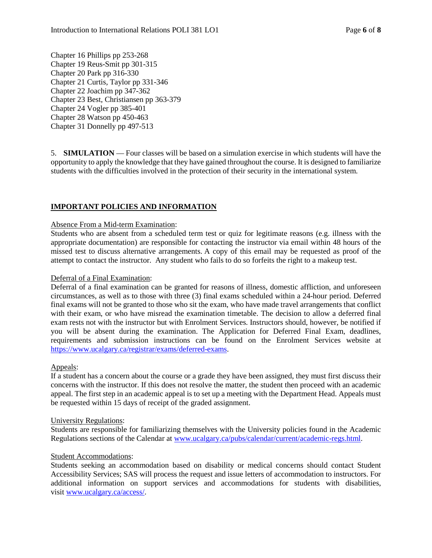Chapter 16 Phillips pp 253-268 Chapter 19 Reus-Smit pp 301-315 Chapter 20 Park pp 316-330 Chapter 21 Curtis, Taylor pp 331-346 Chapter 22 Joachim pp 347-362 Chapter 23 Best, Christiansen pp 363-379 Chapter 24 Vogler pp 385-401 Chapter 28 Watson pp 450-463 Chapter 31 Donnelly pp 497-513

5. **SIMULATION** — Four classes will be based on a simulation exercise in which students will have the opportunity to apply the knowledge that they have gained throughout the course. It is designed to familiarize students with the difficulties involved in the protection of their security in the international system.

# **IMPORTANT POLICIES AND INFORMATION**

## Absence From a Mid-term Examination:

Students who are absent from a scheduled term test or quiz for legitimate reasons (e.g. illness with the appropriate documentation) are responsible for contacting the instructor via email within 48 hours of the missed test to discuss alternative arrangements. A copy of this email may be requested as proof of the attempt to contact the instructor. Any student who fails to do so forfeits the right to a makeup test.

# Deferral of a Final Examination:

Deferral of a final examination can be granted for reasons of illness, domestic affliction, and unforeseen circumstances, as well as to those with three (3) final exams scheduled within a 24-hour period. Deferred final exams will not be granted to those who sit the exam, who have made travel arrangements that conflict with their exam, or who have misread the examination timetable. The decision to allow a deferred final exam rests not with the instructor but with Enrolment Services. Instructors should, however, be notified if you will be absent during the examination. The Application for Deferred Final Exam, deadlines, requirements and submission instructions can be found on the Enrolment Services website at [https://www.ucalgary.ca/registrar/exams/deferred-exams.](https://www.ucalgary.ca/registrar/exams/deferred-exams)

# Appeals:

If a student has a concern about the course or a grade they have been assigned, they must first discuss their concerns with the instructor. If this does not resolve the matter, the student then proceed with an academic appeal. The first step in an academic appeal is to set up a meeting with the Department Head. Appeals must be requested within 15 days of receipt of the graded assignment.

### University Regulations:

Students are responsible for familiarizing themselves with the University policies found in the Academic Regulations sections of the Calendar a[t www.ucalgary.ca/pubs/calendar/current/academic-regs.html.](http://www.ucalgary.ca/pubs/calendar/current/academic-regs.html)

### Student Accommodations:

Students seeking an accommodation based on disability or medical concerns should contact Student Accessibility Services; SAS will process the request and issue letters of accommodation to instructors. For additional information on support services and accommodations for students with disabilities, visit [www.ucalgary.ca/access/.](http://www.ucalgary.ca/access/)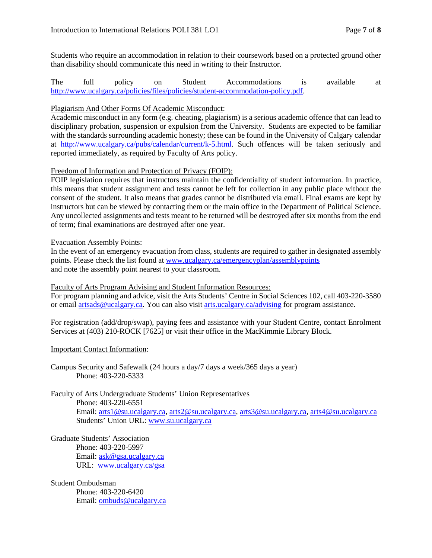Students who require an accommodation in relation to their coursework based on a protected ground other than disability should communicate this need in writing to their Instructor.

The full policy on Student Accommodations is available at [http://www.ucalgary.ca/policies/files/policies/student-accommodation-policy.pdf.](http://www.ucalgary.ca/policies/files/policies/student-accommodation-policy.pdf)

# Plagiarism And Other Forms Of Academic Misconduct:

Academic misconduct in any form (e.g. cheating, plagiarism) is a serious academic offence that can lead to disciplinary probation, suspension or expulsion from the University. Students are expected to be familiar with the standards surrounding academic honesty; these can be found in the University of Calgary calendar at [http://www.ucalgary.ca/pubs/calendar/current/k-5.html.](http://www.ucalgary.ca/pubs/calendar/current/k-5.html) Such offences will be taken seriously and reported immediately, as required by Faculty of Arts policy.

# Freedom of Information and Protection of Privacy (FOIP):

FOIP legislation requires that instructors maintain the confidentiality of student information. In practice, this means that student assignment and tests cannot be left for collection in any public place without the consent of the student. It also means that grades cannot be distributed via email. Final exams are kept by instructors but can be viewed by contacting them or the main office in the Department of Political Science. Any uncollected assignments and tests meant to be returned will be destroyed after six months from the end of term; final examinations are destroyed after one year.

# Evacuation Assembly Points:

In the event of an emergency evacuation from class, students are required to gather in designated assembly points. Please check the list found at [www.ucalgary.ca/emergencyplan/assemblypoints](http://www.ucalgary.ca/emergencyplan/assemblypoints) and note the assembly point nearest to your classroom.

### Faculty of Arts Program Advising and Student Information Resources:

For program planning and advice, visit the Arts Students' Centre in Social Sciences 102, call 403-220-3580 or email [artsads@ucalgary.ca.](mailto:artsads@ucalgary.ca) You can also visit [arts.ucalgary.ca/advising](http://arts.ucalgary.ca/advising) for program assistance.

For registration (add/drop/swap), paying fees and assistance with your Student Centre, contact Enrolment Services at (403) 210-ROCK [7625] or visit their office in the MacKimmie Library Block.

### Important Contact Information:

Campus Security and Safewalk (24 hours a day/7 days a week/365 days a year) Phone: 403-220-5333

Faculty of Arts Undergraduate Students' Union Representatives Phone: 403-220-6551 Email: [arts1@su.ucalgary.ca,](mailto:arts1@su.ucalgary.ca) [arts2@su.ucalgary.ca,](mailto:arts2@su.ucalgary.ca) [arts3@su.ucalgary.ca,](mailto:arts3@su.ucalgary.ca) [arts4@su.ucalgary.ca](mailto:arts4@su.ucalgary.ca) Students' Union URL: [www.su.ucalgary.ca](http://www.su.ucalgary.ca/)

Graduate Students' Association Phone: 403-220-5997 Email: [ask@gsa.ucalgary.ca](mailto:ask@gsa.ucalgary.ca) URL: [www.ucalgary.ca/gsa](http://www.ucalgary.ca/gsa)

### Student Ombudsman

Phone: 403-220-6420 Email: [ombuds@ucalgary.ca](mailto:ombuds@ucalgary.ca)